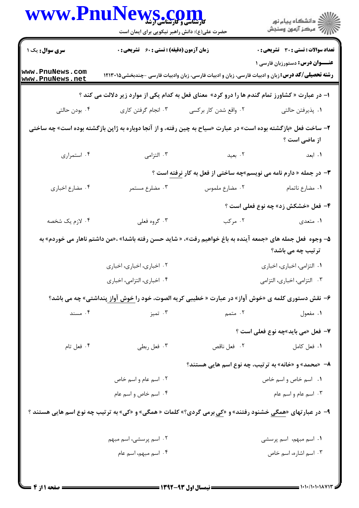| www.Pnu                                                                                                                         | حضرت علی(ع): دانش راهبر نیکویی برای ایمان است                                                                     |                                           | د<br>دانشڪاه پيام نور<br>7- مرڪز آزمون وسنڊش                                                                                                      |  |
|---------------------------------------------------------------------------------------------------------------------------------|-------------------------------------------------------------------------------------------------------------------|-------------------------------------------|---------------------------------------------------------------------------------------------------------------------------------------------------|--|
| سری سوال: یک ۱                                                                                                                  | زمان آزمون (دقیقه) : تستی : 60 ٪ تشریحی : 0                                                                       |                                           | <b>تعداد سوالات : تستي : 30 ٪ تشريحي : 0</b>                                                                                                      |  |
| www.PnuNews.com<br>www.PnuNews.net                                                                                              |                                                                                                                   |                                           | <b>عنـــوان درس:</b> دستورزبان فارسی ۱<br><b>رشته تحصیلی/کد درس:</b> زبان و ادبیات فارسی، زبان و ادبیات فارسی، زبان وادبیات فارسی -چندبخشی۱۲۱۳۰۱۵ |  |
|                                                                                                                                 | ا– در عبارت « کشاورز تمام گندم ها را درو کرد» معنای فعل به کدام یکی از موارد زیر دلالت می کند ؟                   |                                           |                                                                                                                                                   |  |
| ۰۴ بودن حالتی                                                                                                                   | ۰۳ انجام گرفتن کاری                                                                                               | ۰۲ واقع شدن کار برکسی                     | ٠١. پذيرفتن حالتي                                                                                                                                 |  |
|                                                                                                                                 | ۲- ساخت فعل «بازگشته بوده است» در عبارت «سیاح به چین رفته، و از آنجا دوباره به ژاپن بازگشته بوده است» چه ساختی    |                                           | از ماضی است ؟                                                                                                                                     |  |
| ۰۴ استمراری                                                                                                                     | ۰۳ التزامی                                                                                                        | ٢. بعيد                                   | ۰۱ ابعد                                                                                                                                           |  |
|                                                                                                                                 |                                                                                                                   |                                           | <b>۳</b> - در جمله « دارم نامه می نویسم»چه ساختی از فعل به کار نرفته است ؟                                                                        |  |
| ۰۴ مضارع اخباري                                                                                                                 | ۰۳ مضلرع مستمر                                                                                                    | ٠٢ مضارع ملموس                            | ۰۱ مضارع ناتمام                                                                                                                                   |  |
|                                                                                                                                 |                                                                                                                   |                                           | ۴- فعل «خشکش زد» چه نوع فعلی است ؟                                                                                                                |  |
| ۰۴ لازم یک شخصه                                                                                                                 | ۰۳ گروه فعلی                                                                                                      | ۰۲ مرکب                                   | ۰۱ متعدی                                                                                                                                          |  |
| ۵– وجوه  فعل جمله های «جمعه آینده به باغ خواهیم رفت»، « شاید حسن رفته باشدا» ،«من داشتم ناهار می خوردم» به<br>ترتیب چه می باشد؟ |                                                                                                                   |                                           |                                                                                                                                                   |  |
|                                                                                                                                 | ۰۲ اخباري، اخباري، اخباري                                                                                         |                                           | ٠١ التزامي، اخباري، اخباري                                                                                                                        |  |
|                                                                                                                                 | ۰۴ اخباری، التزامی، اخباری                                                                                        |                                           | ۰۳ التزامي، اخباري، التزامي                                                                                                                       |  |
|                                                                                                                                 | ۶- نقش دستوری کلمه ی «خوش آواز» در عبارت « خطیبی کریه الصوت، خود را خوش آواز پنداشتی» چه می باشد؟                 |                                           |                                                                                                                                                   |  |
| ۰۴ مسند                                                                                                                         | ۰۳ تميز                                                                                                           | ۰۲ متمم                                   | ۰۱ مفعول                                                                                                                                          |  |
|                                                                                                                                 |                                                                                                                   |                                           | ۷- فعل «می باید»چه نوع فعلی است ؟                                                                                                                 |  |
| ۰۴ فعل تام                                                                                                                      | ۰۳ فعل ربطي                                                                                                       | ۰۲ فعل ناقص                               | ٠١ فعل كامل                                                                                                                                       |  |
|                                                                                                                                 |                                                                                                                   |                                           | ۸- «محمد» و «خانه» به ترتیب، چه نوع اسم هایی هستند؟                                                                                               |  |
|                                                                                                                                 | ۰۲ اسم عام و اسم خاص                                                                                              |                                           | ۰۱ اسم خاص و اسم خاص                                                                                                                              |  |
|                                                                                                                                 | ۰۴ اسم خاص و اسم عام                                                                                              |                                           | ۰۳ اسم عام و اسم عام                                                                                                                              |  |
|                                                                                                                                 | ۹- در عبارتهای « <u>همگی</u> خشنود رفتند» و «کی برمی گردی؟» کلمات « همگی» و «کی» به ترتیب چه نوع اسم هایی هستند ؟ |                                           |                                                                                                                                                   |  |
|                                                                                                                                 | ۰۲ اسم پرسشی، اسم مبهم                                                                                            |                                           | ۰۱ اسم مبهم، اسم پرسشی                                                                                                                            |  |
|                                                                                                                                 | ۰۴ اسم مبهم، اسم عام                                                                                              |                                           | ۰۳ اسم اشاره، اسم خاص                                                                                                                             |  |
|                                                                                                                                 |                                                                                                                   | $=$ 1444 $-$ 44 t.f. times $\overline{a}$ |                                                                                                                                                   |  |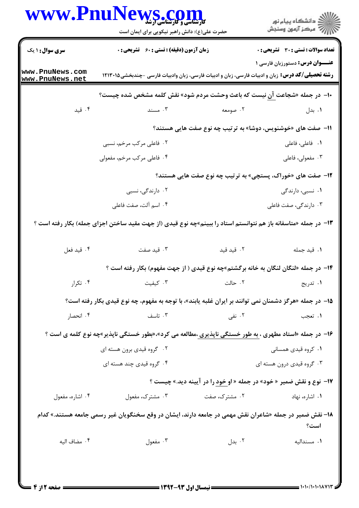|                                                             | حضرت علی(ع): دانش راهبر نیکویی برای ایمان است                                                                   |               | ڪ دانشڪاه پيا <sub>م</sub> نور<br>۾ سرڪز آزمون وسنڊش                       |  |
|-------------------------------------------------------------|-----------------------------------------------------------------------------------------------------------------|---------------|----------------------------------------------------------------------------|--|
| <b>سری سوال :</b> ۱ یک                                      | زمان آزمون (دقیقه) : تستی : 60 ٪ تشریحی : 0                                                                     |               | <b>تعداد سوالات : تستی : 30 ٪ تشریحی : 0</b>                               |  |
| www.PnuNews.com<br>www.PnuNews.net                          | <b>رشته تحصیلی/کد درس:</b> زبان و ادبیات فارسی، زبان و ادبیات فارسی، زبان وادبیات فارسی -چندبخشی۱۲۱۳۰۱۵         |               | <b>عنـــوان درس:</b> دستورزبان فارسی ۱                                     |  |
|                                                             | ∙ا− در جمله «شجاعت <u>آن</u> نیست که باعث وحشت مردم شود» نقش کلمه مشخص شده چیست؟                                |               |                                                                            |  |
| ۰۴ قید                                                      | ۰۳ مسند                                                                                                         | ۰۲ صومعه      | ۰۱ بدل                                                                     |  |
| 11- صفت های «خوشنویس، دوشا» به ترتیب چه نوع صفت هایی هستند؟ |                                                                                                                 |               |                                                                            |  |
|                                                             | ۲. فاعلی مرکب مرخم، نسبی                                                                                        |               | <b>۱.</b> فاعلی، فاعلی                                                     |  |
|                                                             | ۰۴ فاعلی مرکب مرخم، مفعولی                                                                                      |               | ۰۳ مفعولی، فاعلی                                                           |  |
|                                                             |                                                                                                                 |               | <b>۱۲</b> - صفت های «خوراک، پستچی» به ترتیب چه نوع صفت هایی هستند؟         |  |
|                                                             | ۰۲ دارندگی، نسبی                                                                                                |               | ۰۱ نسبی، دارندگی                                                           |  |
|                                                             | ۰۴ اسم آلت، صفت فاعلی                                                                                           |               | ۰۳ دارندگی، صفت فاعلی                                                      |  |
|                                                             | ۱۳- در جمله «متاسفانه باز هم نتوانستم استاد را ببینم»چه نوع قیدی (از جهت مقید ساختن اجزای جمله) بکار رفته است ؟ |               |                                                                            |  |
| ۰۴ قيد فعل                                                  | ۰۳ قید صفت                                                                                                      | ۰۲ قید قید    | ٠١ قيد جمله                                                                |  |
|                                                             | ۱۴- در جمله «لنگان لنگان به خانه برگشتم»چه نوع قیدی ( از جهت مفهوم) بکار رفته است ؟                             |               |                                                                            |  |
| ۰۴ تکرار                                                    | ۰۳ کیفیت                                                                                                        | ٠٢ حالت       | ۰۱ تدریج                                                                   |  |
|                                                             | ۱۵–  در جمله «هرگز دشمنان نمی توانند بر ایران غلبه یابند»، با توجه به مفهوم، چه نوع قیدی بکار رفته است؟         |               |                                                                            |  |
| ۰۴ انحصار                                                   | ۰۳ تاسف                                                                                                         | ۲. نفی        | ۰۱ تعجب                                                                    |  |
|                                                             | ۱۶- در جمله «استاد مطهری ، به طور خستگی ناپذیری ،مطالعه می کرد»،«بطور خستگی ناپذیر»چه نوع کلمه ی است ؟          |               |                                                                            |  |
|                                                             | ۰۲ گروه قیدی برون هسته ای                                                                                       |               | ۰۱ کروه قیدی همسانی                                                        |  |
|                                                             | ۰۴ گروه قیدی چند هسته ای                                                                                        |               | ۰۳ گروه قیدی درون هسته ای                                                  |  |
|                                                             |                                                                                                                 |               | <b>۱۷- نوع و نقش ضمیر « خود» در جمله « او خود را در آیینه دید.» چیست ؟</b> |  |
| ۰۴ اشاره، مفعول                                             | ۰۳ مشترک، مفعول                                                                                                 | ۰۲ مشترک، صفت | ۰۱ اشاره، نهاد                                                             |  |
|                                                             | ۱۸– نقش ضمیر در جمله «شاعران نقش مهمی در جامعه دارند، ایشان در وقع سخنگویان غیر رسمی جامعه هستند.» کدام         |               | است؟                                                                       |  |
|                                                             | ۰۳ مفعول                                                                                                        | ۰۲ بدل        | ٠١ مسنداليه                                                                |  |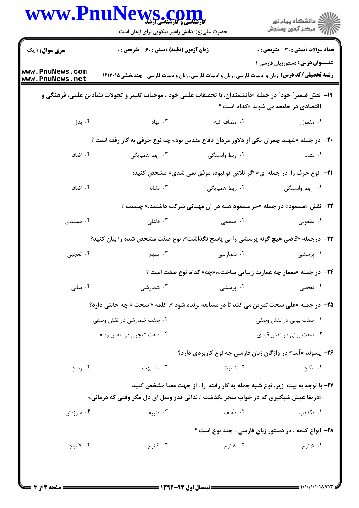|                                    | WWW.PnuNews.com<br>حضرت علی(ع): دانش راهبر نیکویی برای ایمان است                                                 |                | ر<br>دانشڪاه پيام نور<br>ا∛ مرکز آزمون وسنجش                                     |
|------------------------------------|------------------------------------------------------------------------------------------------------------------|----------------|----------------------------------------------------------------------------------|
| <b>سری سوال : ۱ یک</b>             | زمان آزمون (دقیقه) : تستی : ۶۰٪ تشریحی : ۰                                                                       |                | <b>تعداد سوالات : تستی : 30 ٪ تشریحی : 0</b>                                     |
| www.PnuNews.com<br>www.PnuNews.net | <b>رشته تحصیلی/کد درس:</b> زبان و ادبیات فارسی، زبان و ادبیات فارسی، زبان وادبیات فارسی -چندبخشی۱۲۱۳۰۱۵          |                | <b>عنـــوان درس:</b> دستورزبان فارسی ۱                                           |
|                                    | ۱۹− نقش ضمیر″ خود″ در جمله «دانشمندان، با تحقیقات علمی <u>خود</u> ، موجبات تغییر و تحولات بنیادین علمی، فرهنگی و |                | اقتصادی در جامعه می شوند »کدام است ؟                                             |
| ۰۴ بدل                             | نهاد . ۳                                                                                                         | ٢.  مضاف اليه  | ۰۱ مفعول                                                                         |
|                                    | <b>۲۰</b> - در جمله «شهید چمران یکی از دلاور مردان دفاع مقدس بود» چه نوع حرفی به کار رفته است ؟                  |                |                                                                                  |
| ۰۴ اضافه                           | ۰۳ ربط همپایگی                                                                                                   | ۰۲ ربط وابستگی | ٠١ نشانه                                                                         |
|                                    |                                                                                                                  |                | <b>۱۲</b> - نوع حرف را در جمله ی« اگر تلاش تو نبود، موفق نمی شدی» مشخص کنید:     |
| ۰۴ اضافه                           | ۰۳ نشانه                                                                                                         | ۰۲ ربط همپایگی | ۰۱ ربط وابستگی                                                                   |
|                                    |                                                                                                                  |                | <b>۲۲</b> - نقش «مسعود» در جمله «جز مسعود همه در آن مهمانی شرکت داشتند.» چیست ؟  |
| ۰۴ مسندی                           | ۰۳ فاعلی                                                                                                         | ۰۲ متممی       | ۰۱ مفعولی                                                                        |
|                                    | <b>۲۳</b> – درجمله «قاضی هیچ گونه پرسشی را بی پاسخ نگذاشت»، نوع صفت مشخص شده را بیان کنید؟                       |                |                                                                                  |
| ۰۴ تعجبي                           | ۰۳ مېهم                                                                                                          | ۰۲ شمارشی      | ۰۱ پرسشی                                                                         |
|                                    |                                                                                                                  |                | <b>۲۴</b> - در جمله «معمار چ <u>ه</u> عمارت زیبایی ساخت»،«چه» کدام نوع صفت است ؟ |
| ۰۴ بياني                           | ۰۳ شمارشی                                                                                                        | ۰۲ پرسشی       | ۰۱ تعجبي                                                                         |
|                                    | <b>۲۵</b> - در جمله «علی سخت تمرین می کند تا در مسابقه برنده شود »، کلمه « سخت » چه حالتی دارد؟                  |                |                                                                                  |
|                                    | ۲. صفت شمارشی در نقش وصفی                                                                                        |                | ۰۱ صفت بیانی در نقش وصفی                                                         |
|                                    | ۰۴ صفت تعجبي در نقش وصفي                                                                                         |                | ۰۳ صفت بیانی در نقش قیدی                                                         |
|                                    |                                                                                                                  |                | <b>۲۶</b> - پسوند «آسا» در واژگان زبان فارسی چه نوع کاربردی دارد؟                |
| ۰۴ زمان                            | ۰۳ مشابهت                                                                                                        | ۰۲ نسبت        | ۰۱ مکان                                                                          |
|                                    |                                                                                                                  |                | ۲۷- با توجه به بیت زیر، نوع شبه جمله به کار رفته را ، از جهت معنا مشخص کنید:     |
|                                    | «دریغا عیش شبگیری که در خواب سحر بگذشت / ندانی قدر وصل ای دل مگر وقتی که درمانی»                                 |                |                                                                                  |
| ۰۴ سرزنش                           | ۰۳ تنبیه                                                                                                         | ۰۲ تأسف        | ۰۱ تکذیب                                                                         |
|                                    |                                                                                                                  |                | ۲۸- انواع کلمه ، در دستور زبان فارسی ، چند نوع است ؟                             |
| ۰۴ نوع .                           | ۰۳ ع نوع                                                                                                         | ۰۲ ۸ نوع       | ۰۱ ۵ نوع                                                                         |